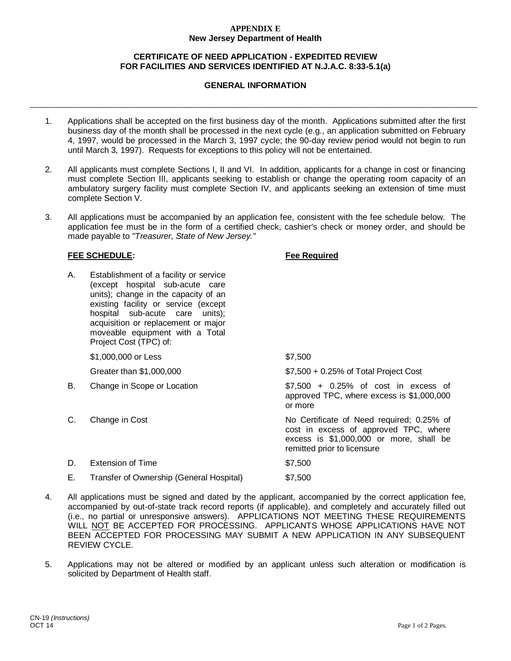### **APPENDIX E New Jersey Department of Health**

## **CERTIFICATE OF NEED APPLICATION - EXPEDITED REVIEW FOR FACILITIES AND SERVICES IDENTIFIED AT N.J.A.C. 8:33-5.1(a)**

## **GENERAL INFORMATION**

\_\_\_\_\_\_\_\_\_\_\_\_\_\_\_\_\_\_\_\_\_\_\_\_\_\_\_\_\_\_\_\_\_\_\_\_\_\_\_\_\_\_\_\_\_\_\_\_\_\_\_\_\_\_\_\_\_\_\_\_\_\_\_\_\_\_\_\_\_\_\_\_\_\_\_\_\_\_\_\_\_\_\_\_\_\_\_\_\_\_\_\_\_\_\_\_\_\_\_\_\_\_\_\_\_\_\_

- 1. Applications shall be accepted on the first business day of the month. Applications submitted after the first business day of the month shall be processed in the next cycle (e.g., an application submitted on February 4, 1997, would be processed in the March 3, 1997 cycle; the 90-day review period would not begin to run until March 3, 1997). Requests for exceptions to this policy will not be entertained.
- 2. All applicants must complete Sections I, II and VI. In addition, applicants for a change in cost or financing must complete Section III, applicants seeking to establish or change the operating room capacity of an ambulatory surgery facility must complete Section IV, and applicants seeking an extension of time must complete Section V.
- 3. All applications must be accompanied by an application fee, consistent with the fee schedule below. The application fee must be in the form of a certified check, cashier's check or money order, and should be made payable to *"Treasurer, State of New Jersey."*

### **FEE SCHEDULE: Fee Required**

| А. | Establishment of a facility or service<br>(except hospital sub-acute care<br>units); change in the capacity of an<br>existing facility or service (except<br>hospital sub-acute care<br>units);<br>acquisition or replacement or major<br>moveable equipment with a Total<br>Project Cost (TPC) of: |                                                                                                                                                              |
|----|-----------------------------------------------------------------------------------------------------------------------------------------------------------------------------------------------------------------------------------------------------------------------------------------------------|--------------------------------------------------------------------------------------------------------------------------------------------------------------|
|    | \$1,000,000 or Less                                                                                                                                                                                                                                                                                 | \$7,500                                                                                                                                                      |
|    | Greater than \$1,000,000                                                                                                                                                                                                                                                                            | $$7,500 + 0.25\%$ of Total Project Cost                                                                                                                      |
| В. | Change in Scope or Location                                                                                                                                                                                                                                                                         | $$7,500$ + 0.25% of cost in excess of<br>approved TPC, where excess is \$1,000,000<br>or more                                                                |
| С. | Change in Cost                                                                                                                                                                                                                                                                                      | No Certificate of Need required; 0.25% of<br>cost in excess of approved TPC, where<br>excess is \$1,000,000 or more, shall be<br>remitted prior to licensure |
| D. | <b>Extension of Time</b>                                                                                                                                                                                                                                                                            | \$7,500                                                                                                                                                      |
| Е. | Transfer of Ownership (General Hospital)                                                                                                                                                                                                                                                            | \$7,500                                                                                                                                                      |

- 4. All applications must be signed and dated by the applicant, accompanied by the correct application fee, accompanied by out-of-state track record reports (if applicable), and completely and accurately filled out (i.e., no partial or unresponsive answers). APPLICATIONS NOT MEETING THESE REQUIREMENTS WILL NOT BE ACCEPTED FOR PROCESSING. APPLICANTS WHOSE APPLICATIONS HAVE NOT BEEN ACCEPTED FOR PROCESSING MAY SUBMIT A NEW APPLICATION IN ANY SUBSEQUENT REVIEW CYCLE.
- 5. Applications may not be altered or modified by an applicant unless such alteration or modification is solicited by Department of Health staff.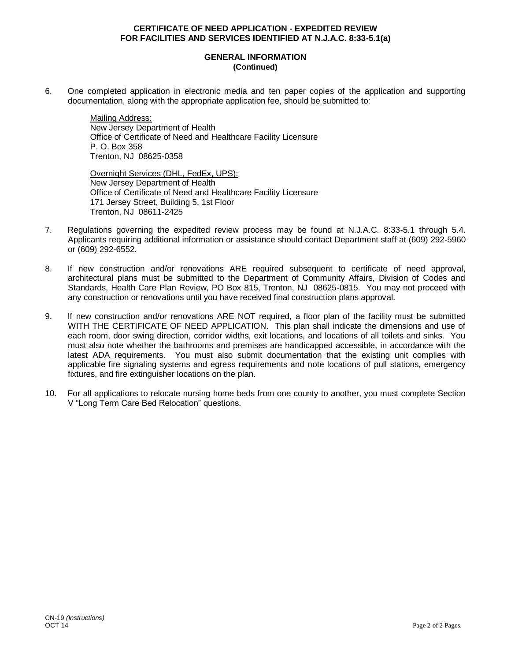### **GENERAL INFORMATION (Continued)**

6. One completed application in electronic media and ten paper copies of the application and supporting documentation, along with the appropriate application fee, should be submitted to:

> Mailing Address: New Jersey Department of Health Office of Certificate of Need and Healthcare Facility Licensure P. O. Box 358 Trenton, NJ 08625-0358

> Overnight Services (DHL, FedEx, UPS): New Jersey Department of Health Office of Certificate of Need and Healthcare Facility Licensure 171 Jersey Street, Building 5, 1st Floor Trenton, NJ 08611-2425

- 7. Regulations governing the expedited review process may be found at N.J.A.C. 8:33-5.1 through 5.4. Applicants requiring additional information or assistance should contact Department staff at (609) 292-5960 or (609) 292-6552.
- 8. If new construction and/or renovations ARE required subsequent to certificate of need approval, architectural plans must be submitted to the Department of Community Affairs, Division of Codes and Standards, Health Care Plan Review, PO Box 815, Trenton, NJ 08625-0815. You may not proceed with any construction or renovations until you have received final construction plans approval.
- 9. If new construction and/or renovations ARE NOT required, a floor plan of the facility must be submitted WITH THE CERTIFICATE OF NEED APPLICATION. This plan shall indicate the dimensions and use of each room, door swing direction, corridor widths, exit locations, and locations of all toilets and sinks. You must also note whether the bathrooms and premises are handicapped accessible, in accordance with the latest ADA requirements. You must also submit documentation that the existing unit complies with applicable fire signaling systems and egress requirements and note locations of pull stations, emergency fixtures, and fire extinguisher locations on the plan.
- 10. For all applications to relocate nursing home beds from one county to another, you must complete Section V "Long Term Care Bed Relocation" questions.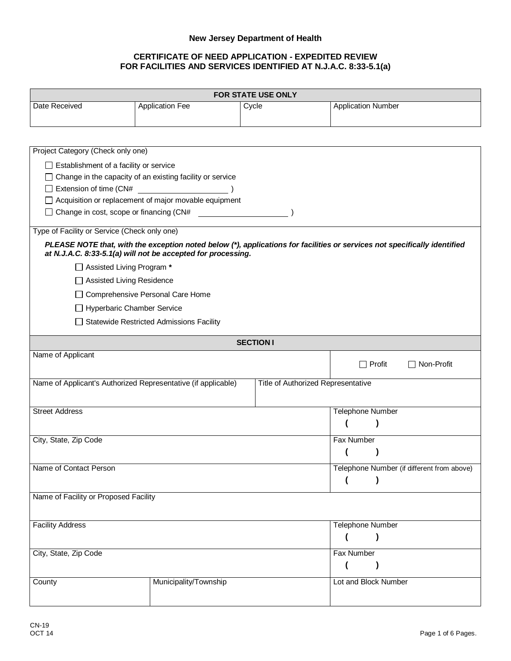# **New Jersey Department of Health**

| <b>FOR STATE USE ONLY</b>                                     |                                                                  |                                    |                                                                                                                           |
|---------------------------------------------------------------|------------------------------------------------------------------|------------------------------------|---------------------------------------------------------------------------------------------------------------------------|
| Date Received                                                 | <b>Application Fee</b>                                           | Cycle                              | <b>Application Number</b>                                                                                                 |
|                                                               |                                                                  |                                    |                                                                                                                           |
| Project Category (Check only one)                             |                                                                  |                                    |                                                                                                                           |
| $\Box$ Establishment of a facility or service                 |                                                                  |                                    |                                                                                                                           |
|                                                               | $\Box$ Change in the capacity of an existing facility or service |                                    |                                                                                                                           |
| $\Box$ Extension of time (CN#                                 |                                                                  |                                    |                                                                                                                           |
|                                                               | □ Acquisition or replacement of major movable equipment          |                                    |                                                                                                                           |
|                                                               |                                                                  |                                    |                                                                                                                           |
| Type of Facility or Service (Check only one)                  |                                                                  |                                    |                                                                                                                           |
|                                                               | at N.J.A.C. 8:33-5.1(a) will not be accepted for processing.     |                                    | PLEASE NOTE that, with the exception noted below (*), applications for facilities or services not specifically identified |
| □ Assisted Living Program *                                   |                                                                  |                                    |                                                                                                                           |
| □ Assisted Living Residence                                   |                                                                  |                                    |                                                                                                                           |
|                                                               | □ Comprehensive Personal Care Home                               |                                    |                                                                                                                           |
| □ Hyperbaric Chamber Service                                  |                                                                  |                                    |                                                                                                                           |
|                                                               | Statewide Restricted Admissions Facility                         |                                    |                                                                                                                           |
|                                                               |                                                                  |                                    |                                                                                                                           |
|                                                               |                                                                  | <b>SECTION I</b>                   |                                                                                                                           |
| Name of Applicant                                             |                                                                  |                                    | $\Box$ Profit<br>$\Box$ Non-Profit                                                                                        |
| Name of Applicant's Authorized Representative (if applicable) |                                                                  | Title of Authorized Representative |                                                                                                                           |
| <b>Street Address</b>                                         |                                                                  |                                    | <b>Telephone Number</b>                                                                                                   |
|                                                               |                                                                  |                                    |                                                                                                                           |
| City, State, Zip Code                                         |                                                                  |                                    | Fax Number                                                                                                                |
|                                                               |                                                                  |                                    |                                                                                                                           |
| Name of Contact Person                                        |                                                                  |                                    | Telephone Number (if different from above)                                                                                |
|                                                               |                                                                  |                                    |                                                                                                                           |
| Name of Facility or Proposed Facility                         |                                                                  |                                    |                                                                                                                           |
|                                                               |                                                                  |                                    |                                                                                                                           |
| <b>Facility Address</b>                                       |                                                                  |                                    | <b>Telephone Number</b>                                                                                                   |
|                                                               |                                                                  |                                    |                                                                                                                           |
| City, State, Zip Code                                         |                                                                  |                                    | Fax Number                                                                                                                |
|                                                               |                                                                  |                                    | (                                                                                                                         |
| County                                                        | Municipality/Township                                            |                                    | Lot and Block Number                                                                                                      |
|                                                               |                                                                  |                                    |                                                                                                                           |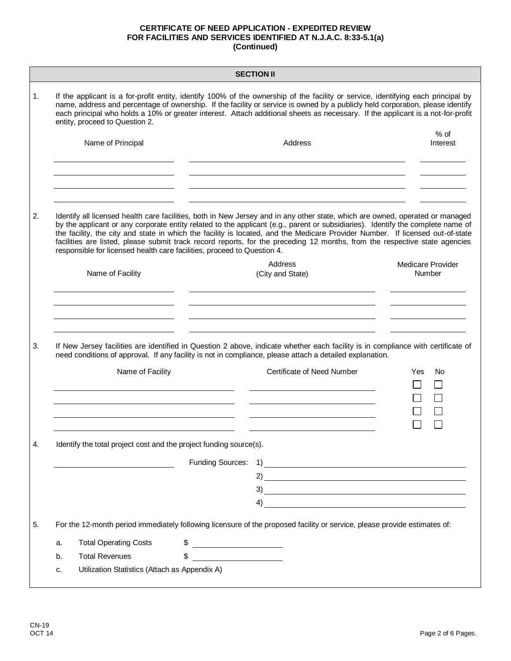|    | <b>SECTION II</b>                                                                                                                                                                                                                                                                                                                                                                                                                                                                                                                                                                                          |                  |                                                                                                                                                                                                                                                                                                                                    |     |                                    |
|----|------------------------------------------------------------------------------------------------------------------------------------------------------------------------------------------------------------------------------------------------------------------------------------------------------------------------------------------------------------------------------------------------------------------------------------------------------------------------------------------------------------------------------------------------------------------------------------------------------------|------------------|------------------------------------------------------------------------------------------------------------------------------------------------------------------------------------------------------------------------------------------------------------------------------------------------------------------------------------|-----|------------------------------------|
| 1. | If the applicant is a for-profit entity, identify 100% of the ownership of the facility or service, identifying each principal by<br>name, address and percentage of ownership. If the facility or service is owned by a publicly held corporation, please identify<br>each principal who holds a 10% or greater interest. Attach additional sheets as necessary. If the applicant is a not-for-profit<br>entity, proceed to Question 2.                                                                                                                                                                   |                  |                                                                                                                                                                                                                                                                                                                                    |     |                                    |
|    | Name of Principal                                                                                                                                                                                                                                                                                                                                                                                                                                                                                                                                                                                          |                  | Address                                                                                                                                                                                                                                                                                                                            |     | $%$ of<br>Interest                 |
|    |                                                                                                                                                                                                                                                                                                                                                                                                                                                                                                                                                                                                            |                  |                                                                                                                                                                                                                                                                                                                                    |     |                                    |
| 2. | Identify all licensed health care facilities, both in New Jersey and in any other state, which are owned, operated or managed<br>by the applicant or any corporate entity related to the applicant (e.g., parent or subsidiaries). Identify the complete name of<br>the facility, the city and state in which the facility is located, and the Medicare Provider Number. If licensed out-of-state<br>facilities are listed, please submit track record reports, for the preceding 12 months, from the respective state agencies<br>responsible for licensed health care facilities, proceed to Question 4. |                  |                                                                                                                                                                                                                                                                                                                                    |     |                                    |
|    | Name of Facility                                                                                                                                                                                                                                                                                                                                                                                                                                                                                                                                                                                           |                  | Address<br>(City and State)                                                                                                                                                                                                                                                                                                        |     | <b>Medicare Provider</b><br>Number |
| 3. | If New Jersey facilities are identified in Question 2 above, indicate whether each facility is in compliance with certificate of<br>need conditions of approval. If any facility is not in compliance, please attach a detailed explanation.                                                                                                                                                                                                                                                                                                                                                               |                  |                                                                                                                                                                                                                                                                                                                                    |     |                                    |
|    | Name of Facility                                                                                                                                                                                                                                                                                                                                                                                                                                                                                                                                                                                           |                  | Certificate of Need Number                                                                                                                                                                                                                                                                                                         | Yes | No                                 |
|    |                                                                                                                                                                                                                                                                                                                                                                                                                                                                                                                                                                                                            |                  |                                                                                                                                                                                                                                                                                                                                    |     |                                    |
| 4. | Identify the total project cost and the project funding source(s).                                                                                                                                                                                                                                                                                                                                                                                                                                                                                                                                         |                  |                                                                                                                                                                                                                                                                                                                                    |     |                                    |
|    |                                                                                                                                                                                                                                                                                                                                                                                                                                                                                                                                                                                                            | Funding Sources: |                                                                                                                                                                                                                                                                                                                                    |     |                                    |
|    |                                                                                                                                                                                                                                                                                                                                                                                                                                                                                                                                                                                                            |                  | $2)$ and $2$ and $2$ and $2$ and $2$ and $2$ and $2$ and $2$ and $2$ and $2$ and $2$ and $2$ and $2$ and $2$ and $2$ and $2$ and $2$ and $2$ and $2$ and $2$ and $2$ and $2$ and $2$ and $2$ and $2$ and $2$ and $2$ and $2$                                                                                                       |     |                                    |
|    |                                                                                                                                                                                                                                                                                                                                                                                                                                                                                                                                                                                                            |                  | $\overline{a}$ and $\overline{a}$ and $\overline{a}$ and $\overline{a}$ and $\overline{a}$ and $\overline{a}$ and $\overline{a}$ and $\overline{a}$ and $\overline{a}$ and $\overline{a}$ and $\overline{a}$ and $\overline{a}$ and $\overline{a}$ and $\overline{a}$ and $\overline{a}$ and $\overline{a}$ and $\overline{a}$ and |     |                                    |
|    |                                                                                                                                                                                                                                                                                                                                                                                                                                                                                                                                                                                                            |                  |                                                                                                                                                                                                                                                                                                                                    |     |                                    |
| 5. | For the 12-month period immediately following licensure of the proposed facility or service, please provide estimates of:                                                                                                                                                                                                                                                                                                                                                                                                                                                                                  |                  |                                                                                                                                                                                                                                                                                                                                    |     |                                    |
|    | <b>Total Operating Costs</b><br>\$<br>a.                                                                                                                                                                                                                                                                                                                                                                                                                                                                                                                                                                   |                  |                                                                                                                                                                                                                                                                                                                                    |     |                                    |
|    | <b>Total Revenues</b><br>\$<br>b.                                                                                                                                                                                                                                                                                                                                                                                                                                                                                                                                                                          |                  |                                                                                                                                                                                                                                                                                                                                    |     |                                    |
|    | Utilization Statistics (Attach as Appendix A)<br>c.                                                                                                                                                                                                                                                                                                                                                                                                                                                                                                                                                        |                  |                                                                                                                                                                                                                                                                                                                                    |     |                                    |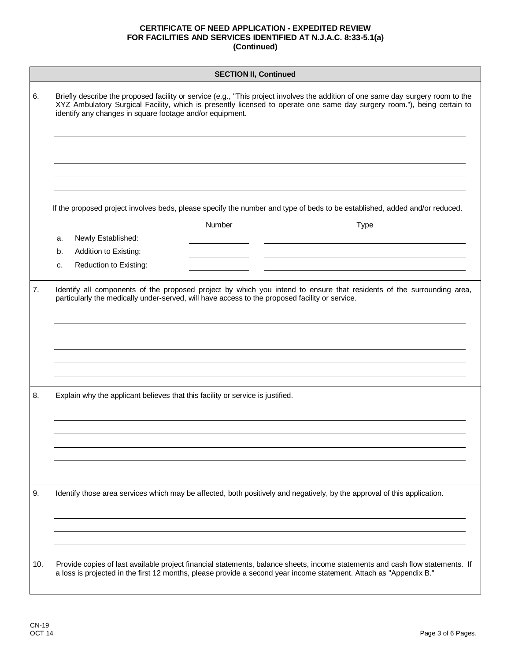| <b>SECTION II, Continued</b> |                                                                                                                                                                                                                                                                                                                         |  |
|------------------------------|-------------------------------------------------------------------------------------------------------------------------------------------------------------------------------------------------------------------------------------------------------------------------------------------------------------------------|--|
| 6.                           | Briefly describe the proposed facility or service (e.g., "This project involves the addition of one same day surgery room to the<br>XYZ Ambulatory Surgical Facility, which is presently licensed to operate one same day surgery room."), being certain to<br>identify any changes in square footage and/or equipment. |  |
|                              |                                                                                                                                                                                                                                                                                                                         |  |
|                              | If the proposed project involves beds, please specify the number and type of beds to be established, added and/or reduced.                                                                                                                                                                                              |  |
|                              | Number<br><b>Type</b>                                                                                                                                                                                                                                                                                                   |  |
|                              | Newly Established:<br>a.                                                                                                                                                                                                                                                                                                |  |
|                              | Addition to Existing:<br>b.                                                                                                                                                                                                                                                                                             |  |
|                              | Reduction to Existing:<br>c.                                                                                                                                                                                                                                                                                            |  |
| 7.                           | Identify all components of the proposed project by which you intend to ensure that residents of the surrounding area,<br>particularly the medically under-served, will have access to the proposed facility or service.                                                                                                 |  |
| 8.                           | Explain why the applicant believes that this facility or service is justified.                                                                                                                                                                                                                                          |  |
| 9.                           | Identify those area services which may be affected, both positively and negatively, by the approval of this application.                                                                                                                                                                                                |  |
| 10.                          | Provide copies of last available project financial statements, balance sheets, income statements and cash flow statements. If<br>a loss is projected in the first 12 months, please provide a second year income statement. Attach as "Appendix B."                                                                     |  |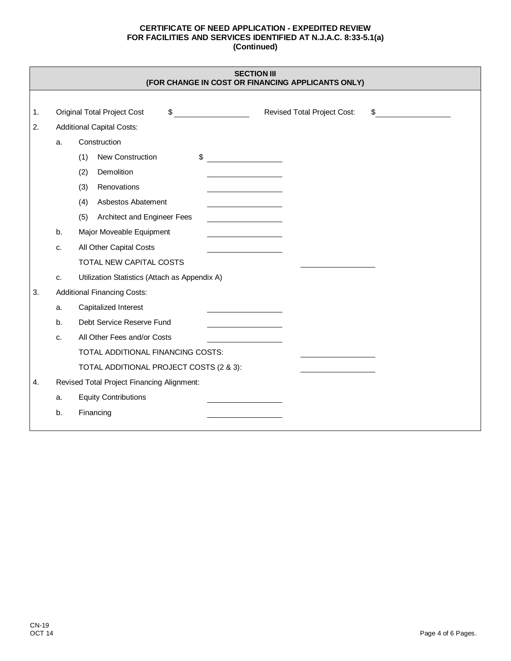| <b>SECTION III</b>                                |  |
|---------------------------------------------------|--|
| (FOR CHANGE IN COST OR FINANCING APPLICANTS ONLY) |  |

| 1. |    | Revised Total Project Cost:<br><b>Original Total Project Cost</b><br>\$ |
|----|----|-------------------------------------------------------------------------|
| 2. |    | <b>Additional Capital Costs:</b>                                        |
|    | a. | Construction                                                            |
|    |    | \$<br>(1)<br>New Construction                                           |
|    |    | Demolition<br>(2)                                                       |
|    |    | Renovations<br>(3)                                                      |
|    |    | Asbestos Abatement<br>(4)                                               |
|    |    | (5)<br>Architect and Engineer Fees                                      |
|    | b. | Major Moveable Equipment                                                |
|    | C. | All Other Capital Costs                                                 |
|    |    | TOTAL NEW CAPITAL COSTS                                                 |
|    | c. | Utilization Statistics (Attach as Appendix A)                           |
| 3. |    | <b>Additional Financing Costs:</b>                                      |
|    | a. | Capitalized Interest                                                    |
|    | b. | Debt Service Reserve Fund                                               |
|    | c. | All Other Fees and/or Costs                                             |
|    |    | TOTAL ADDITIONAL FINANCING COSTS:                                       |
|    |    | TOTAL ADDITIONAL PROJECT COSTS (2 & 3):                                 |
| 4. |    | Revised Total Project Financing Alignment:                              |
|    | a. | <b>Equity Contributions</b>                                             |
|    | b. | Financing                                                               |
|    |    |                                                                         |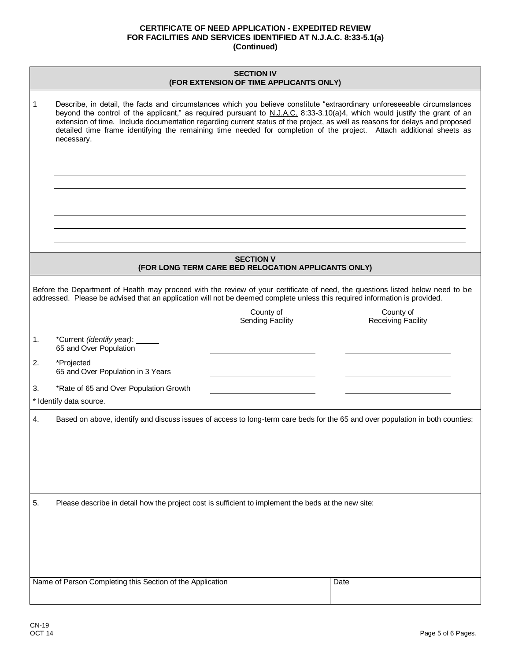| <b>SECTION IV</b> |                                                                                                                                                                                                                                                                                                                                                                                                                                                                                                                             |                                        |  |  |
|-------------------|-----------------------------------------------------------------------------------------------------------------------------------------------------------------------------------------------------------------------------------------------------------------------------------------------------------------------------------------------------------------------------------------------------------------------------------------------------------------------------------------------------------------------------|----------------------------------------|--|--|
|                   | (FOR EXTENSION OF TIME APPLICANTS ONLY)                                                                                                                                                                                                                                                                                                                                                                                                                                                                                     |                                        |  |  |
| 1                 | Describe, in detail, the facts and circumstances which you believe constitute "extraordinary unforeseeable circumstances<br>beyond the control of the applicant," as required pursuant to N.J.A.C. 8:33-3.10(a)4, which would justify the grant of an<br>extension of time. Include documentation regarding current status of the project, as well as reasons for delays and proposed<br>detailed time frame identifying the remaining time needed for completion of the project. Attach additional sheets as<br>necessary. |                                        |  |  |
|                   |                                                                                                                                                                                                                                                                                                                                                                                                                                                                                                                             |                                        |  |  |
|                   |                                                                                                                                                                                                                                                                                                                                                                                                                                                                                                                             |                                        |  |  |
|                   |                                                                                                                                                                                                                                                                                                                                                                                                                                                                                                                             |                                        |  |  |
|                   |                                                                                                                                                                                                                                                                                                                                                                                                                                                                                                                             |                                        |  |  |
|                   | <b>SECTION V</b><br>(FOR LONG TERM CARE BED RELOCATION APPLICANTS ONLY)                                                                                                                                                                                                                                                                                                                                                                                                                                                     |                                        |  |  |
|                   | Before the Department of Health may proceed with the review of your certificate of need, the questions listed below need to be<br>addressed. Please be advised that an application will not be deemed complete unless this required information is provided.                                                                                                                                                                                                                                                                |                                        |  |  |
|                   | County of<br><b>Sending Facility</b>                                                                                                                                                                                                                                                                                                                                                                                                                                                                                        | County of<br><b>Receiving Facility</b> |  |  |
| 1.                | *Current (identify year): _____<br>65 and Over Population                                                                                                                                                                                                                                                                                                                                                                                                                                                                   |                                        |  |  |
| 2.                | *Projected<br>65 and Over Population in 3 Years                                                                                                                                                                                                                                                                                                                                                                                                                                                                             |                                        |  |  |
| 3.                | *Rate of 65 and Over Population Growth<br>* Identify data source.                                                                                                                                                                                                                                                                                                                                                                                                                                                           |                                        |  |  |
| 4.                | Based on above, identify and discuss issues of access to long-term care beds for the 65 and over population in both counties:                                                                                                                                                                                                                                                                                                                                                                                               |                                        |  |  |
|                   |                                                                                                                                                                                                                                                                                                                                                                                                                                                                                                                             |                                        |  |  |
|                   |                                                                                                                                                                                                                                                                                                                                                                                                                                                                                                                             |                                        |  |  |
|                   |                                                                                                                                                                                                                                                                                                                                                                                                                                                                                                                             |                                        |  |  |
| 5.                | Please describe in detail how the project cost is sufficient to implement the beds at the new site:                                                                                                                                                                                                                                                                                                                                                                                                                         |                                        |  |  |
|                   |                                                                                                                                                                                                                                                                                                                                                                                                                                                                                                                             |                                        |  |  |
|                   |                                                                                                                                                                                                                                                                                                                                                                                                                                                                                                                             |                                        |  |  |
|                   |                                                                                                                                                                                                                                                                                                                                                                                                                                                                                                                             |                                        |  |  |
|                   | Name of Person Completing this Section of the Application                                                                                                                                                                                                                                                                                                                                                                                                                                                                   | Date                                   |  |  |